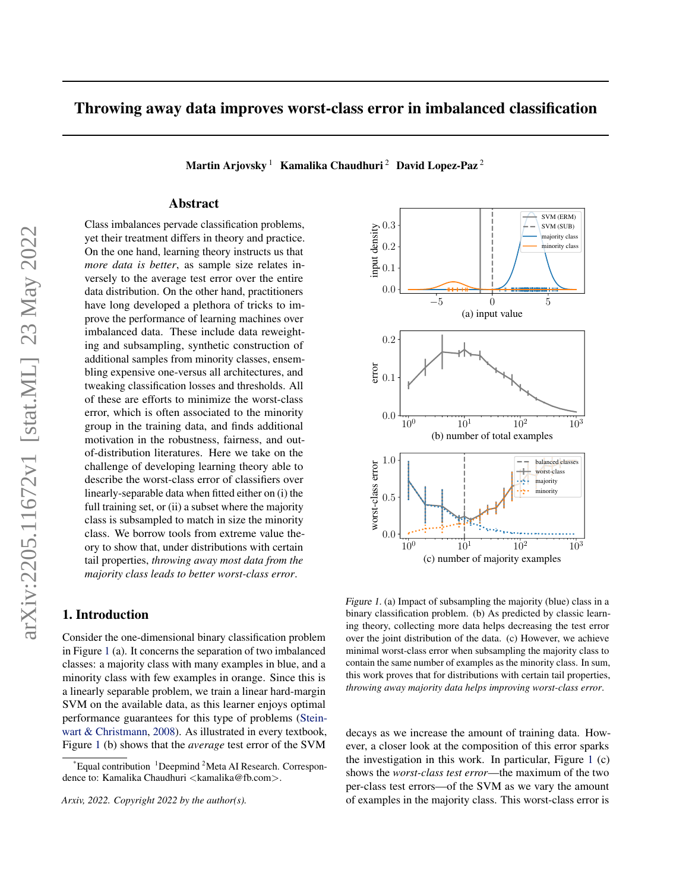# Throwing away data improves worst-class error in imbalanced classification

Martin Arjovsky<sup>1</sup> Kamalika Chaudhuri<sup>2</sup> David Lopez-Paz<sup>2</sup>

# Abstract

Class imbalances pervade classification problems, yet their treatment differs in theory and practice. On the one hand, learning theory instructs us that *more data is better*, as sample size relates inversely to the average test error over the entire data distribution. On the other hand, practitioners have long developed a plethora of tricks to improve the performance of learning machines over imbalanced data. These include data reweighting and subsampling, synthetic construction of additional samples from minority classes, ensembling expensive one-versus all architectures, and tweaking classification losses and thresholds. All of these are efforts to minimize the worst-class error, which is often associated to the minority group in the training data, and finds additional motivation in the robustness, fairness, and outof-distribution literatures. Here we take on the challenge of developing learning theory able to describe the worst-class error of classifiers over linearly-separable data when fitted either on (i) the full training set, or (ii) a subset where the majority class is subsampled to match in size the minority class. We borrow tools from extreme value theory to show that, under distributions with certain tail properties, *throwing away most data from the majority class leads to better worst-class error*.

# 1. Introduction

Consider the one-dimensional binary classification problem in Figure [1](#page-0-0) (a). It concerns the separation of two imbalanced classes: a majority class with many examples in blue, and a minority class with few examples in orange. Since this is a linearly separable problem, we train a linear hard-margin SVM on the available data, as this learner enjoys optimal performance guarantees for this type of problems [\(Stein](#page-8-0)[wart & Christmann,](#page-8-0) [2008\)](#page-8-0). As illustrated in every textbook, Figure [1](#page-0-0) (b) shows that the *average* test error of the SVM

*Arxiv, 2022. Copyright 2022 by the author(s).*



<span id="page-0-0"></span>Figure 1. (a) Impact of subsampling the majority (blue) class in a binary classification problem. (b) As predicted by classic learning theory, collecting more data helps decreasing the test error over the joint distribution of the data. (c) However, we achieve minimal worst-class error when subsampling the majority class to contain the same number of examples as the minority class. In sum, this work proves that for distributions with certain tail properties, *throwing away majority data helps improving worst-class error*.

decays as we increase the amount of training data. However, a closer look at the composition of this error sparks the investigation in this work. In particular, Figure [1](#page-0-0) (c) shows the *worst-class test error*—the maximum of the two per-class test errors—of the SVM as we vary the amount of examples in the majority class. This worst-class error is

Equal contribution <sup>1</sup>Deepmind <sup>2</sup>Meta AI Research. Correspondence to: Kamalika Chaudhuri <kamalika@fb.com>.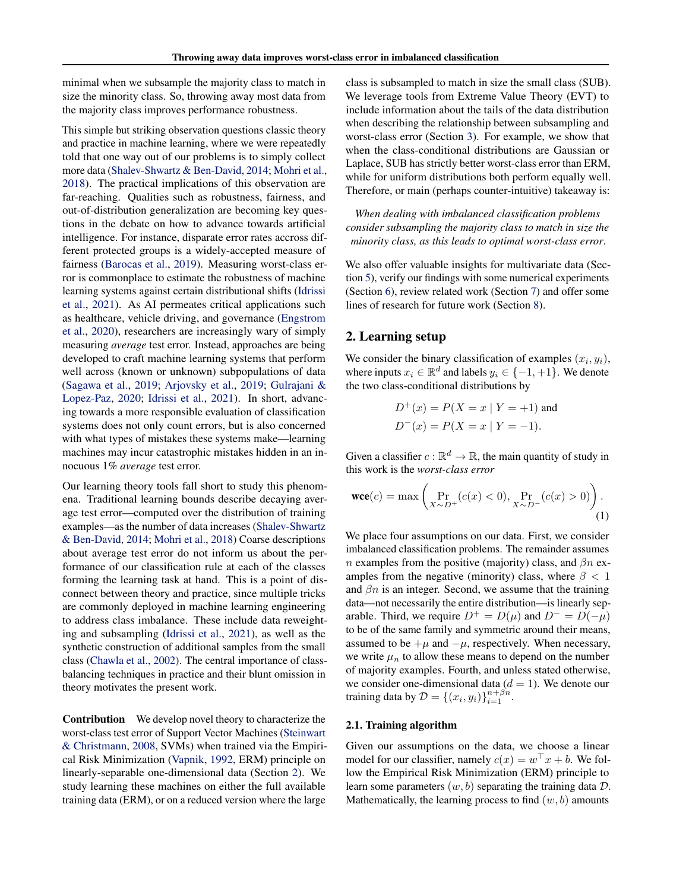minimal when we subsample the majority class to match in size the minority class. So, throwing away most data from the majority class improves performance robustness.

This simple but striking observation questions classic theory and practice in machine learning, where we were repeatedly told that one way out of our problems is to simply collect more data [\(Shalev-Shwartz & Ben-David,](#page-8-1) [2014;](#page-8-1) [Mohri et al.,](#page-8-2) [2018\)](#page-8-2). The practical implications of this observation are far-reaching. Qualities such as robustness, fairness, and out-of-distribution generalization are becoming key questions in the debate on how to advance towards artificial intelligence. For instance, disparate error rates accross different protected groups is a widely-accepted measure of fairness [\(Barocas et al.,](#page-8-3) [2019\)](#page-8-3). Measuring worst-class error is commonplace to estimate the robustness of machine learning systems against certain distributional shifts [\(Idrissi](#page-8-4) [et al.,](#page-8-4) [2021\)](#page-8-4). As AI permeates critical applications such as healthcare, vehicle driving, and governance [\(Engstrom](#page-8-5) [et al.,](#page-8-5) [2020\)](#page-8-5), researchers are increasingly wary of simply measuring *average* test error. Instead, approaches are being developed to craft machine learning systems that perform well across (known or unknown) subpopulations of data [\(Sagawa et al.,](#page-8-6) [2019;](#page-8-6) [Arjovsky et al.,](#page-8-7) [2019;](#page-8-7) [Gulrajani &](#page-8-8) [Lopez-Paz,](#page-8-8) [2020;](#page-8-8) [Idrissi et al.,](#page-8-4) [2021\)](#page-8-4). In short, advancing towards a more responsible evaluation of classification systems does not only count errors, but is also concerned with what types of mistakes these systems make—learning machines may incur catastrophic mistakes hidden in an innocuous 1% *average* test error.

Our learning theory tools fall short to study this phenomena. Traditional learning bounds describe decaying average test error—computed over the distribution of training examples—as the number of data increases [\(Shalev-Shwartz](#page-8-1) [& Ben-David,](#page-8-1) [2014;](#page-8-1) [Mohri et al.,](#page-8-2) [2018\)](#page-8-2) Coarse descriptions about average test error do not inform us about the performance of our classification rule at each of the classes forming the learning task at hand. This is a point of disconnect between theory and practice, since multiple tricks are commonly deployed in machine learning engineering to address class imbalance. These include data reweighting and subsampling [\(Idrissi et al.,](#page-8-4) [2021\)](#page-8-4), as well as the synthetic construction of additional samples from the small class [\(Chawla et al.,](#page-8-9) [2002\)](#page-8-9). The central importance of classbalancing techniques in practice and their blunt omission in theory motivates the present work.

Contribution We develop novel theory to characterize the worst-class test error of Support Vector Machines [\(Steinwart](#page-8-0) [& Christmann,](#page-8-0) [2008,](#page-8-0) SVMs) when trained via the Empirical Risk Minimization [\(Vapnik,](#page-8-10) [1992,](#page-8-10) ERM) principle on linearly-separable one-dimensional data (Section [2\)](#page-1-0). We study learning these machines on either the full available training data (ERM), or on a reduced version where the large

class is subsampled to match in size the small class (SUB). We leverage tools from Extreme Value Theory (EVT) to include information about the tails of the data distribution when describing the relationship between subsampling and worst-class error (Section [3\)](#page-3-0). For example, we show that when the class-conditional distributions are Gaussian or Laplace, SUB has strictly better worst-class error than ERM, while for uniform distributions both perform equally well. Therefore, or main (perhaps counter-intuitive) takeaway is:

*When dealing with imbalanced classification problems consider subsampling the majority class to match in size the minority class, as this leads to optimal worst-class error*.

We also offer valuable insights for multivariate data (Section [5\)](#page-5-0), verify our findings with some numerical experiments (Section [6\)](#page-6-0), review related work (Section [7\)](#page-6-1) and offer some lines of research for future work (Section [8\)](#page-7-0).

# <span id="page-1-0"></span>2. Learning setup

We consider the binary classification of examples  $(x_i, y_i)$ , where inputs  $x_i \in \mathbb{R}^d$  and labels  $y_i \in \{-1, +1\}$ . We denote the two class-conditional distributions by

<span id="page-1-1"></span>
$$
D^{+}(x) = P(X = x | Y = +1)
$$
 and  
 
$$
D^{-}(x) = P(X = x | Y = -1).
$$

Given a classifier  $c : \mathbb{R}^d \to \mathbb{R}$ , the main quantity of study in this work is the *worst-class error*

$$
\text{wce}(c) = \max\left(\Pr_{X \sim D^{+}}(c(x) < 0), \Pr_{X \sim D^{-}}(c(x) > 0)\right). \tag{1}
$$

We place four assumptions on our data. First, we consider imbalanced classification problems. The remainder assumes n examples from the positive (majority) class, and  $\beta n$  examples from the negative (minority) class, where  $\beta < 1$ and  $\beta n$  is an integer. Second, we assume that the training data—not necessarily the entire distribution—is linearly separable. Third, we require  $D^+ = D(\mu)$  and  $D^- = D(-\mu)$ to be of the same family and symmetric around their means, assumed to be  $+\mu$  and  $-\mu$ , respectively. When necessary, we write  $\mu_n$  to allow these means to depend on the number of majority examples. Fourth, and unless stated otherwise, we consider one-dimensional data  $(d = 1)$ . We denote our training data by  $D = \{(x_i, y_i)\}_{i=1}^{n+\beta n}$ .

#### 2.1. Training algorithm

Given our assumptions on the data, we choose a linear model for our classifier, namely  $c(x) = w^{\top}x + b$ . We follow the Empirical Risk Minimization (ERM) principle to learn some parameters  $(w, b)$  separating the training data  $D$ . Mathematically, the learning process to find  $(w, b)$  amounts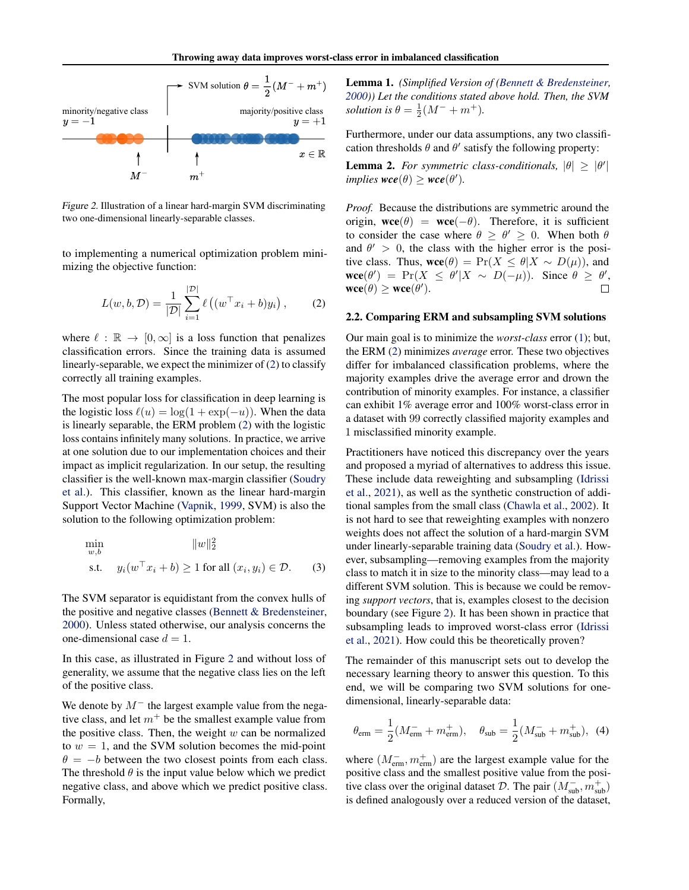

<span id="page-2-1"></span>Figure 2. Illustration of a linear hard-margin SVM discriminating two one-dimensional linearly-separable classes.

to implementing a numerical optimization problem minimizing the objective function:

<span id="page-2-0"></span>
$$
L(w, b, \mathcal{D}) = \frac{1}{|\mathcal{D}|} \sum_{i=1}^{|\mathcal{D}|} \ell\left((w^{\top} x_i + b) y_i\right), \tag{2}
$$

where  $\ell : \mathbb{R} \to [0, \infty]$  is a loss function that penalizes classification errors. Since the training data is assumed linearly-separable, we expect the minimizer of [\(2\)](#page-2-0) to classify correctly all training examples.

The most popular loss for classification in deep learning is the logistic loss  $\ell(u) = \log(1 + \exp(-u))$ . When the data is linearly separable, the ERM problem [\(2\)](#page-2-0) with the logistic loss contains infinitely many solutions. In practice, we arrive at one solution due to our implementation choices and their impact as implicit regularization. In our setup, the resulting classifier is the well-known max-margin classifier [\(Soudry](#page-8-11) [et al.\)](#page-8-11). This classifier, known as the linear hard-margin Support Vector Machine [\(Vapnik,](#page-8-12) [1999,](#page-8-12) SVM) is also the solution to the following optimization problem:

<span id="page-2-3"></span>
$$
\min_{w,b} \qquad \|w\|_2^2
$$
\n
$$
\text{s.t.} \quad y_i(w^\top x_i + b) \ge 1 \text{ for all } (x_i, y_i) \in \mathcal{D}. \tag{3}
$$

The SVM separator is equidistant from the convex hulls of the positive and negative classes [\(Bennett & Bredensteiner,](#page-8-13) [2000\)](#page-8-13). Unless stated otherwise, our analysis concerns the one-dimensional case  $d = 1$ .

In this case, as illustrated in Figure [2](#page-2-1) and without loss of generality, we assume that the negative class lies on the left of the positive class.

We denote by  $M^-$  the largest example value from the negative class, and let  $m<sup>+</sup>$  be the smallest example value from the positive class. Then, the weight  $w$  can be normalized to  $w = 1$ , and the SVM solution becomes the mid-point  $\theta = -b$  between the two closest points from each class. The threshold  $\theta$  is the input value below which we predict negative class, and above which we predict positive class. Formally,

<span id="page-2-5"></span>Lemma 1. *(Simplified Version of [\(Bennett & Bredensteiner,](#page-8-13) [2000\)](#page-8-13)) Let the conditions stated above hold. Then, the SVM solution is*  $\theta = \frac{1}{2}(M^{-} + m^{+})$ *.* 

Furthermore, under our data assumptions, any two classification thresholds  $\theta$  and  $\theta'$  satisfy the following property:

<span id="page-2-4"></span>**Lemma 2.** For symmetric class-conditionals,  $|\theta| \geq |\theta'|$  $implies$ *wce* $(\theta) \ge$ *wce* $(\theta')$ *.* 

*Proof.* Because the distributions are symmetric around the origin,  $\mathbf{wce}(\theta) = \mathbf{wce}(-\theta)$ . Therefore, it is sufficient to consider the case where  $\theta \ge \theta' \ge 0$ . When both  $\theta$ and  $\theta' > 0$ , the class with the higher error is the positive class. Thus,  $\mathbf{wce}(\theta) = \Pr(X \le \theta | X \sim D(\mu))$ , and  $\text{wce}(\theta') = \Pr(X \leq \theta' | X \sim D(-\mu)).$  Since  $\theta \geq \theta'$ ,  $\mathbf{wce}(\theta) \geq \mathbf{wce}(\theta').$ 

#### 2.2. Comparing ERM and subsampling SVM solutions

Our main goal is to minimize the *worst-class* error [\(1\)](#page-1-1); but, the ERM [\(2\)](#page-2-0) minimizes *average* error. These two objectives differ for imbalanced classification problems, where the majority examples drive the average error and drown the contribution of minority examples. For instance, a classifier can exhibit 1% average error and 100% worst-class error in a dataset with 99 correctly classified majority examples and 1 misclassified minority example.

Practitioners have noticed this discrepancy over the years and proposed a myriad of alternatives to address this issue. These include data reweighting and subsampling [\(Idrissi](#page-8-4) [et al.,](#page-8-4) [2021\)](#page-8-4), as well as the synthetic construction of additional samples from the small class [\(Chawla et al.,](#page-8-9) [2002\)](#page-8-9). It is not hard to see that reweighting examples with nonzero weights does not affect the solution of a hard-margin SVM under linearly-separable training data [\(Soudry et al.\)](#page-8-11). However, subsampling—removing examples from the majority class to match it in size to the minority class—may lead to a different SVM solution. This is because we could be removing *support vectors*, that is, examples closest to the decision boundary (see Figure [2\)](#page-2-1). It has been shown in practice that subsampling leads to improved worst-class error [\(Idrissi](#page-8-4) [et al.,](#page-8-4) [2021\)](#page-8-4). How could this be theoretically proven?

The remainder of this manuscript sets out to develop the necessary learning theory to answer this question. To this end, we will be comparing two SVM solutions for onedimensional, linearly-separable data:

<span id="page-2-2"></span>
$$
\theta_{\rm{erm}} = \frac{1}{2}(M_{\rm{erm}}^- + m_{\rm{erm}}^+), \quad \theta_{\rm{sub}} = \frac{1}{2}(M_{\rm{sub}}^- + m_{\rm{sub}}^+), \tag{4}
$$

where  $(M_{\text{erm}}^-, m_{\text{erm}}^+)$  are the largest example value for the positive class and the smallest positive value from the positive class over the original dataset  $\mathcal{D}$ . The pair  $(M_{\text{sub}}^-, m_{\text{sub}}^+)$ is defined analogously over a reduced version of the dataset,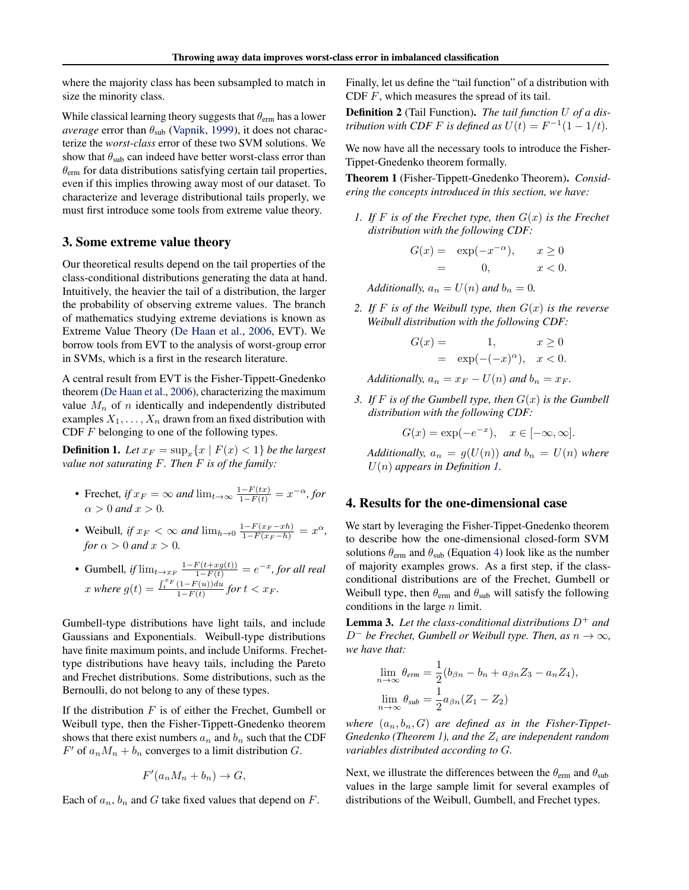where the majority class has been subsampled to match in size the minority class.

While classical learning theory suggests that  $\theta_{\text{erm}}$  has a lower *average* error than  $\theta_{sub}$  [\(Vapnik,](#page-8-12) [1999\)](#page-8-12), it does not characterize the *worst-class* error of these two SVM solutions. We show that  $\theta_{sub}$  can indeed have better worst-class error than  $\theta_{\text{erm}}$  for data distributions satisfying certain tail properties, even if this implies throwing away most of our dataset. To characterize and leverage distributional tails properly, we must first introduce some tools from extreme value theory.

#### <span id="page-3-0"></span>3. Some extreme value theory

Our theoretical results depend on the tail properties of the class-conditional distributions generating the data at hand. Intuitively, the heavier the tail of a distribution, the larger the probability of observing extreme values. The branch of mathematics studying extreme deviations is known as Extreme Value Theory [\(De Haan et al.,](#page-8-14) [2006,](#page-8-14) EVT). We borrow tools from EVT to the analysis of worst-group error in SVMs, which is a first in the research literature.

A central result from EVT is the Fisher-Tippett-Gnedenko theorem [\(De Haan et al.,](#page-8-14) [2006\)](#page-8-14), characterizing the maximum value  $M_n$  of n identically and independently distributed examples  $X_1, \ldots, X_n$  drawn from an fixed distribution with CDF  $F$  belonging to one of the following types.

<span id="page-3-1"></span>**Definition 1.** Let  $x_F = \sup_x \{x \mid F(x) < 1\}$  be the largest *value not saturating* F*. Then* F *is of the family:*

- Frechet, if  $x_F = \infty$  and  $\lim_{t \to \infty} \frac{1 F(tx)}{1 F(t)} = x^{-\alpha}$ , for  $\alpha > 0$  *and*  $x > 0$ *.*
- Weibull, if  $x_F < \infty$  and  $\lim_{h \to 0} \frac{1 F(x_F x_h)}{1 F(x_F h)} = x^{\alpha}$ , *for*  $\alpha > 0$  *and*  $x > 0$ *.*
- Gumbell, if  $\lim_{t \to x_F} \frac{1 F(t + xg(t))}{1 F(t)} = e^{-x}$ , for all real x where  $g(t) = \frac{\int_t^x F(1-F(u))du}{1-F(t)}$  $\frac{(1-F(u))du}{1-F(t)}$  for  $t < x_F$ .

Gumbell-type distributions have light tails, and include Gaussians and Exponentials. Weibull-type distributions have finite maximum points, and include Uniforms. Frechettype distributions have heavy tails, including the Pareto and Frechet distributions. Some distributions, such as the Bernoulli, do not belong to any of these types.

If the distribution  $F$  is of either the Frechet, Gumbell or Weibull type, then the Fisher-Tippett-Gnedenko theorem shows that there exist numbers  $a_n$  and  $b_n$  such that the CDF  $F'$  of  $a_n M_n + b_n$  converges to a limit distribution G.

$$
F'(a_n M_n + b_n) \to G,
$$

Each of  $a_n$ ,  $b_n$  and G take fixed values that depend on F.

Finally, let us define the "tail function" of a distribution with CDF F, which measures the spread of its tail.

Definition 2 (Tail Function). *The tail function* U *of a distribution with CDF F is defined as*  $U(t) = F^{-1}(1 - 1/t)$ *.* 

We now have all the necessary tools to introduce the Fisher-Tippet-Gnedenko theorem formally.

Theorem 1 (Fisher-Tippett-Gnedenko Theorem). *Considering the concepts introduced in this section, we have:*

*1.* If F is of the Frechet type, then  $G(x)$  is the Frechet *distribution with the following CDF:*

$$
G(x) = \exp(-x^{-\alpha}), \quad x \ge 0
$$
  
= 0, \quad x < 0.

*Additionally,*  $a_n = U(n)$  *and*  $b_n = 0$ .

2. If F is of the Weibull type, then  $G(x)$  is the reverse *Weibull distribution with the following CDF:*

$$
G(x) = 1, \quad x \ge 0
$$
  
=  $\exp(-(-x)^{\alpha}), \quad x < 0.$ 

*Additionally,*  $a_n = x_F - U(n)$  *and*  $b_n = x_F$ *.* 

<span id="page-3-2"></span>*3. If* F *is of the Gumbell type, then* G(x) *is the Gumbell distribution with the following CDF:*

$$
G(x) = \exp(-e^{-x}), \quad x \in [-\infty, \infty].
$$

*Additionally,*  $a_n = g(U(n))$  *and*  $b_n = U(n)$  *where* U(n) *appears in Definition [1.](#page-3-1)*

# <span id="page-3-4"></span>4. Results for the one-dimensional case

We start by leveraging the Fisher-Tippet-Gnedenko theorem to describe how the one-dimensional closed-form SVM solutions  $\theta_{\text{erm}}$  and  $\theta_{\text{sub}}$  (Equation [4\)](#page-2-2) look like as the number of majority examples grows. As a first step, if the classconditional distributions are of the Frechet, Gumbell or Weibull type, then  $\theta_{\text{erm}}$  and  $\theta_{\text{sub}}$  will satisfy the following conditions in the large  $n$  limit.

<span id="page-3-3"></span>**Lemma 3.** Let the class-conditional distributions  $D^+$  and  $D^-$  *be Frechet, Gumbell or Weibull type. Then, as*  $n \to \infty$ *, we have that:*

$$
\lim_{n \to \infty} \theta_{\text{erm}} = \frac{1}{2} (b_{\beta n} - b_n + a_{\beta n} Z_3 - a_n Z_4),
$$
  

$$
\lim_{n \to \infty} \theta_{\text{sub}} = \frac{1}{2} a_{\beta n} (Z_1 - Z_2)
$$

where  $(a_n, b_n, G)$  are defined as in the Fisher-Tippet-*Gnedenko (Theorem [1\)](#page-3-2), and the*  $Z_i$  *are independent random variables distributed according to* G*.*

Next, we illustrate the differences between the  $\theta_{\text{erm}}$  and  $\theta_{\text{sub}}$ values in the large sample limit for several examples of distributions of the Weibull, Gumbell, and Frechet types.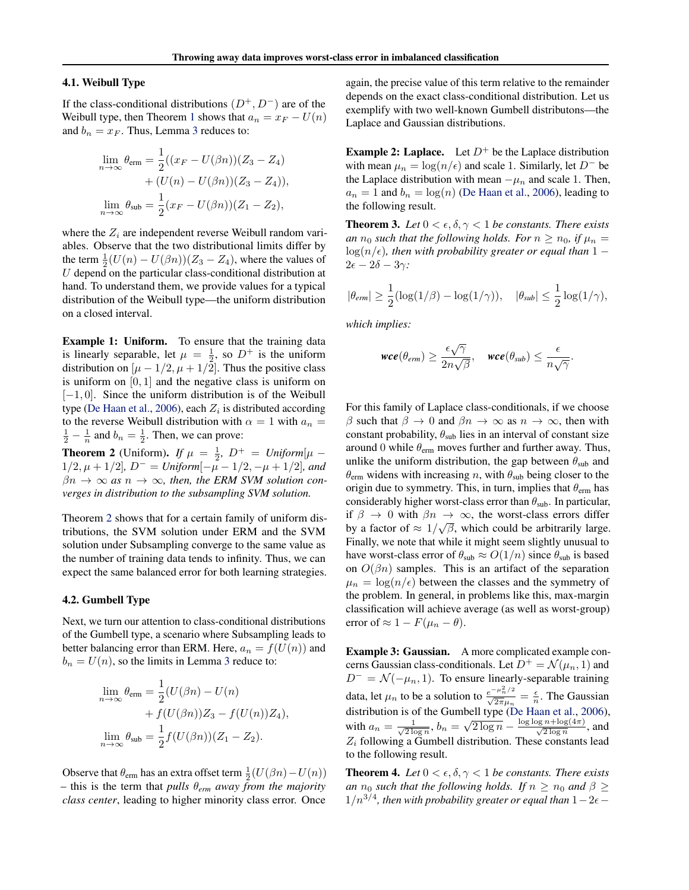#### 4.1. Weibull Type

If the class-conditional distributions  $(D^+, D^-)$  are of the Weibull type, then Theorem [1](#page-3-2) shows that  $a_n = x_F - U(n)$ and  $b_n = x_F$ . Thus, Lemma [3](#page-3-3) reduces to:

$$
\lim_{n \to \infty} \theta_{\text{erm}} = \frac{1}{2} ((x_F - U(\beta n))(Z_3 - Z_4) + (U(n) - U(\beta n))(Z_3 - Z_4)),
$$
  

$$
\lim_{n \to \infty} \theta_{\text{sub}} = \frac{1}{2} (x_F - U(\beta n))(Z_1 - Z_2),
$$

where the  $Z_i$  are independent reverse Weibull random variables. Observe that the two distributional limits differ by the term  $\frac{1}{2}(U(n) - U(\beta n))(Z_3 - Z_4)$ , where the values of  $U$  depend on the particular class-conditional distribution at hand. To understand them, we provide values for a typical distribution of the Weibull type—the uniform distribution on a closed interval.

Example 1: Uniform. To ensure that the training data is linearly separable, let  $\mu = \frac{1}{2}$ , so  $D^+$  is the uniform distribution on  $[\mu - 1/2, \mu + 1/2]$ . Thus the positive class is uniform on  $[0, 1]$  and the negative class is uniform on [−1, 0]. Since the uniform distribution is of the Weibull type [\(De Haan et al.,](#page-8-14) [2006\)](#page-8-14), each  $Z_i$  is distributed according to the reverse Weibull distribution with  $\alpha = 1$  with  $a_n =$  $\frac{1}{2} - \frac{1}{n}$  and  $b_n = \frac{1}{2}$ . Then, we can prove:

<span id="page-4-0"></span>**Theorem 2** (Uniform). *If*  $\mu = \frac{1}{2}$ ,  $D^+ = Uniform[\mu - \frac{1}{2}$  $1/2, \mu + 1/2$ *, D<sup>-</sup>* = *Uniform* $[-\mu - 1/2, -\mu + 1/2]$ *, and*  $\beta n \to \infty$  as  $n \to \infty$ , then, the ERM SVM solution con*verges in distribution to the subsampling SVM solution.*

Theorem [2](#page-4-0) shows that for a certain family of uniform distributions, the SVM solution under ERM and the SVM solution under Subsampling converge to the same value as the number of training data tends to infinity. Thus, we can expect the same balanced error for both learning strategies.

#### 4.2. Gumbell Type

Next, we turn our attention to class-conditional distributions of the Gumbell type, a scenario where Subsampling leads to better balancing error than ERM. Here,  $a_n = f(U(n))$  and  $b_n = U(n)$ , so the limits in Lemma [3](#page-3-3) reduce to:

$$
\lim_{n \to \infty} \theta_{\text{erm}} = \frac{1}{2} (U(\beta n) - U(n) + f(U(\beta n))Z_3 - f(U(n))Z_4),
$$

$$
\lim_{n \to \infty} \theta_{\text{sub}} = \frac{1}{2} f(U(\beta n))(Z_1 - Z_2).
$$

Observe that  $\theta_{\text{erm}}$  has an extra offset term  $\frac{1}{2}(U(\beta n) - U(n))$  $-$  this is the term that *pulls*  $\theta_{erm}$  *away from the majority class center*, leading to higher minority class error. Once

again, the precise value of this term relative to the remainder depends on the exact class-conditional distribution. Let us exemplify with two well-known Gumbell distributons—the Laplace and Gaussian distributions.

**Example 2: Laplace.** Let  $D^+$  be the Laplace distribution with mean  $\mu_n = \log(n/\epsilon)$  and scale 1. Similarly, let D<sup>-</sup> be the Laplace distribution with mean  $-\mu_n$  and scale 1. Then,  $a_n = 1$  and  $b_n = \log(n)$  [\(De Haan et al.,](#page-8-14) [2006\)](#page-8-14), leading to the following result.

<span id="page-4-1"></span>**Theorem 3.** *Let*  $0 < \epsilon, \delta, \gamma < 1$  *be constants. There exists an*  $n_0$  *such that the following holds. For*  $n \geq n_0$ *, if*  $\mu_n =$  $\log(n/\epsilon)$ , then with probability greater or equal than 1 −  $2\epsilon - 2\delta - 3\gamma$ :

$$
|\theta_{erm}| \ge \frac{1}{2}(\log(1/\beta) - \log(1/\gamma)), \quad |\theta_{sub}| \le \frac{1}{2}\log(1/\gamma),
$$

*which implies:*

$$
\textit{wce}(\theta_{erm}) \geq \frac{\epsilon \sqrt{\gamma}}{2n\sqrt{\beta}}, \quad \textit{wce}(\theta_{sub}) \leq \frac{\epsilon}{n\sqrt{\gamma}}.
$$

For this family of Laplace class-conditionals, if we choose β such that  $β \to 0$  and  $βn \to ∞$  as  $n \to ∞$ , then with constant probability,  $\theta_{sub}$  lies in an interval of constant size around 0 while  $\theta_{\rm em}$  moves further and further away. Thus, unlike the uniform distribution, the gap between  $\theta_{sub}$  and  $\theta_{\text{erm}}$  widens with increasing n, with  $\theta_{\text{sub}}$  being closer to the origin due to symmetry. This, in turn, implies that  $\theta_{\text{erm}}$  has considerably higher worst-class error than  $\theta_{sub}$ . In particular, if  $\beta \to 0$  with  $\beta n \to \infty$ , the worst-class errors differ by a factor of  $\approx 1/\sqrt{\beta}$ , which could be arbitrarily large. Finally, we note that while it might seem slightly unusual to have worst-class error of  $\theta_{sub} \approx O(1/n)$  since  $\theta_{sub}$  is based on  $O(\beta n)$  samples. This is an artifact of the separation  $\mu_n = \log(n/\epsilon)$  between the classes and the symmetry of the problem. In general, in problems like this, max-margin classification will achieve average (as well as worst-group) error of  $\approx 1 - F(\mu_n - \theta)$ .

Example 3: Gaussian. A more complicated example concerns Gaussian class-conditionals. Let  $D^+ = \mathcal{N}(\mu_n, 1)$  and  $D^{-} = \mathcal{N}(-\mu_n, 1)$ . To ensure linearly-separable training data, let  $\mu_n$  to be a solution to  $\frac{e^{-\mu_n^2/2}}{\sqrt{2\pi}\mu_n} = \frac{\epsilon}{n}$ . The Gaussian distribution is of the Gumbell type [\(De Haan et al.,](#page-8-14) [2006\)](#page-8-14), with  $a_n = \frac{1}{\sqrt{2 \log n}}$ ,  $b_n = \sqrt{2 \log n} - \frac{\log \log n + \log(4\pi)}{\sqrt{2 \log n}}$ , and  $Z_i$  following a Gumbell distribution. These constants lead to the following result.

<span id="page-4-2"></span>**Theorem 4.** *Let*  $0 < \epsilon, \delta, \gamma < 1$  *be constants. There exists an*  $n_0$  *such that the following holds. If*  $n \geq n_0$  *and*  $\beta \geq$  $1/n^{3/4}$ , then with probability greater or equal than  $1-2\epsilon$   $-$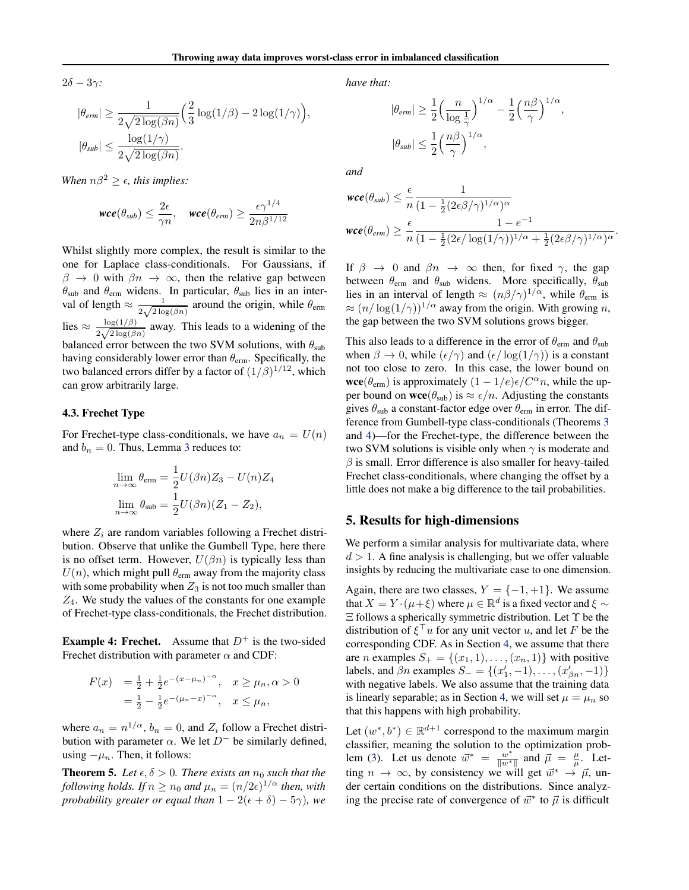$2\delta - 3\gamma$ :

$$
\begin{aligned} |\theta_{erm}| &\geq \frac{1}{2\sqrt{2\log(\beta n)}} \Big(\frac{2}{3}\log(1/\beta)-2\log(1/\gamma)\Big),\\ |\theta_{sub}| &\leq \frac{\log(1/\gamma)}{2\sqrt{2\log(\beta n)}}. \end{aligned}
$$

*When*  $n\beta^2 \geq \epsilon$ , *this implies:* 

$$
\textit{wce}(\theta_{sub}) \leq \frac{2\epsilon}{\gamma n}, \quad \textit{wce}(\theta_{erm}) \geq \frac{\epsilon \gamma^{1/4}}{2n\beta^{1/12}}
$$

Whilst slightly more complex, the result is similar to the one for Laplace class-conditionals. For Gaussians, if  $\beta \rightarrow 0$  with  $\beta n \rightarrow \infty$ , then the relative gap between  $\theta_{sub}$  and  $\theta_{erm}$  widens. In particular,  $\theta_{sub}$  lies in an interval of length  $\approx \frac{1}{2\sqrt{2\log n}}$  $\frac{1}{2\sqrt{2\log(\beta n)}}$  around the origin, while  $\theta_{\text{erm}}$ lies  $\approx \frac{\log(1/\beta)}{2\sqrt{2\log(\beta)}}$  $\frac{\log(1/\beta)}{2\sqrt{2\log(\beta n)}}$  away. This leads to a widening of the balanced error between the two SVM solutions, with  $\theta_{sub}$ having considerably lower error than  $\theta_{\text{erm}}$ . Specifically, the two balanced errors differ by a factor of  $(1/\beta)^{1/12}$ , which can grow arbitrarily large.

### 4.3. Frechet Type

For Frechet-type class-conditionals, we have  $a_n = U(n)$ and  $b_n = 0$ . Thus, Lemma [3](#page-3-3) reduces to:

$$
\lim_{n \to \infty} \theta_{\text{erm}} = \frac{1}{2} U(\beta n) Z_3 - U(n) Z_4
$$

$$
\lim_{n \to \infty} \theta_{\text{sub}} = \frac{1}{2} U(\beta n) (Z_1 - Z_2),
$$

where  $Z_i$  are random variables following a Frechet distribution. Observe that unlike the Gumbell Type, here there is no offset term. However,  $U(\beta n)$  is typically less than  $U(n)$ , which might pull  $\theta_{\text{erm}}$  away from the majority class with some probability when  $Z_3$  is not too much smaller than  $Z_4$ . We study the values of the constants for one example of Frechet-type class-conditionals, the Frechet distribution.

**Example 4: Frechet.** Assume that  $D^+$  is the two-sided Frechet distribution with parameter  $\alpha$  and CDF:

$$
F(x) = \frac{1}{2} + \frac{1}{2}e^{-(x-\mu_n)^{-\alpha}}, \quad x \ge \mu_n, \alpha > 0
$$
  
=  $\frac{1}{2} - \frac{1}{2}e^{-(\mu_n - x)^{-\alpha}}, \quad x \le \mu_n,$ 

where  $a_n = n^{1/\alpha}$ ,  $b_n = 0$ , and  $Z_i$  follow a Frechet distribution with parameter  $\alpha$ . We let  $D^-$  be similarly defined, using  $-\mu_n$ . Then, it follows:

<span id="page-5-1"></span>**Theorem 5.** Let  $\epsilon, \delta > 0$ . There exists an  $n_0$  such that the *following holds. If*  $n \ge n_0$  *and*  $\mu_n = (n/2\epsilon)^{1/\alpha}$  *then, with probability greater or equal than*  $1 - 2(\epsilon + \delta) - 5\gamma$ *), we*  *have that:*

$$
|\theta_{erm}| \ge \frac{1}{2} \left(\frac{n}{\log \frac{1}{\gamma}}\right)^{1/\alpha} - \frac{1}{2} \left(\frac{n\beta}{\gamma}\right)^{1/\alpha},
$$
  

$$
|\theta_{sub}| \le \frac{1}{2} \left(\frac{n\beta}{\gamma}\right)^{1/\alpha},
$$

*and*

$$
\begin{aligned} \n\textit{wce}(\theta_{\textit{sub}}) &\leq \frac{\epsilon}{n} \frac{1}{(1 - \frac{1}{2} (2\epsilon \beta / \gamma)^{1/\alpha})^{\alpha}} \\ \n\textit{wce}(\theta_{\textit{erm}}) &\geq \frac{\epsilon}{n} \frac{1 - e^{-1}}{(1 - \frac{1}{2} (2\epsilon / \log(1/\gamma))^{1/\alpha} + \frac{1}{2} (2\epsilon \beta / \gamma)^{1/\alpha})^{\alpha}} \n\end{aligned}
$$

.

If  $\beta \rightarrow 0$  and  $\beta n \rightarrow \infty$  then, for fixed  $\gamma$ , the gap between  $\theta_{\rm{erm}}$  and  $\theta_{\rm{sub}}$  widens. More specifically,  $\theta_{\rm{sub}}$ lies in an interval of length  $\approx (n\beta/\gamma)^{1/\alpha}$ , while  $\theta_{\text{erm}}$  is  $\approx (n/\log(1/\gamma))^{1/\alpha}$  away from the origin. With growing n, the gap between the two SVM solutions grows bigger.

This also leads to a difference in the error of  $\theta_{\text{erm}}$  and  $\theta_{\text{sub}}$ when  $\beta \to 0$ , while  $(\epsilon/\gamma)$  and  $(\epsilon/\log(1/\gamma))$  is a constant not too close to zero. In this case, the lower bound on **wce**( $\theta_{\text{erm}}$ ) is approximately  $(1 - 1/e)\epsilon/C^{\alpha}n$ , while the upper bound on  $\mathbf{wce}(\theta_{sub})$  is  $\approx \epsilon/n$ . Adjusting the constants gives  $\theta_{sub}$  a constant-factor edge over  $\theta_{erm}$  in error. The difference from Gumbell-type class-conditionals (Theorems [3](#page-4-1) and [4\)](#page-4-2)—for the Frechet-type, the difference between the two SVM solutions is visible only when  $\gamma$  is moderate and  $\beta$  is small. Error difference is also smaller for heavy-tailed Frechet class-conditionals, where changing the offset by a little does not make a big difference to the tail probabilities.

#### <span id="page-5-0"></span>5. Results for high-dimensions

We perform a similar analysis for multivariate data, where  $d > 1$ . A fine analysis is challenging, but we offer valuable insights by reducing the multivariate case to one dimension.

Again, there are two classes,  $Y = \{-1, +1\}$ . We assume that  $X = Y \cdot (\mu + \xi)$  where  $\mu \in \mathbb{R}^d$  is a fixed vector and  $\xi \sim$  $\Xi$  follows a spherically symmetric distribution. Let  $\Upsilon$  be the distribution of  $\xi^{\top}u$  for any unit vector u, and let F be the corresponding CDF. As in Section [4,](#page-3-4) we assume that there are *n* examples  $S_+ = \{(x_1, 1), \ldots, (x_n, 1)\}$  with positive labels, and  $\beta n$  examples  $S_ = \{(x'_1, -1), \dots, (x'_{\beta n}, -1)\}$ with negative labels. We also assume that the training data is linearly separable; as in Section [4,](#page-3-4) we will set  $\mu = \mu_n$  so that this happens with high probability.

Let  $(w^*, b^*) \in \mathbb{R}^{d+1}$  correspond to the maximum margin classifier, meaning the solution to the optimization prob-lem [\(3\)](#page-2-3). Let us denote  $\vec{w}^* = \frac{w^*}{\|w\|^*}$  $\frac{w^*}{\|w^*\|}$  and  $\vec{\mu} = \frac{\mu}{\mu}$ . Letting  $n \to \infty$ , by consistency we will get  $\vec{w}^* \to \vec{\mu}$ , under certain conditions on the distributions. Since analyzing the precise rate of convergence of  $\vec{w}^*$  to  $\vec{\mu}$  is difficult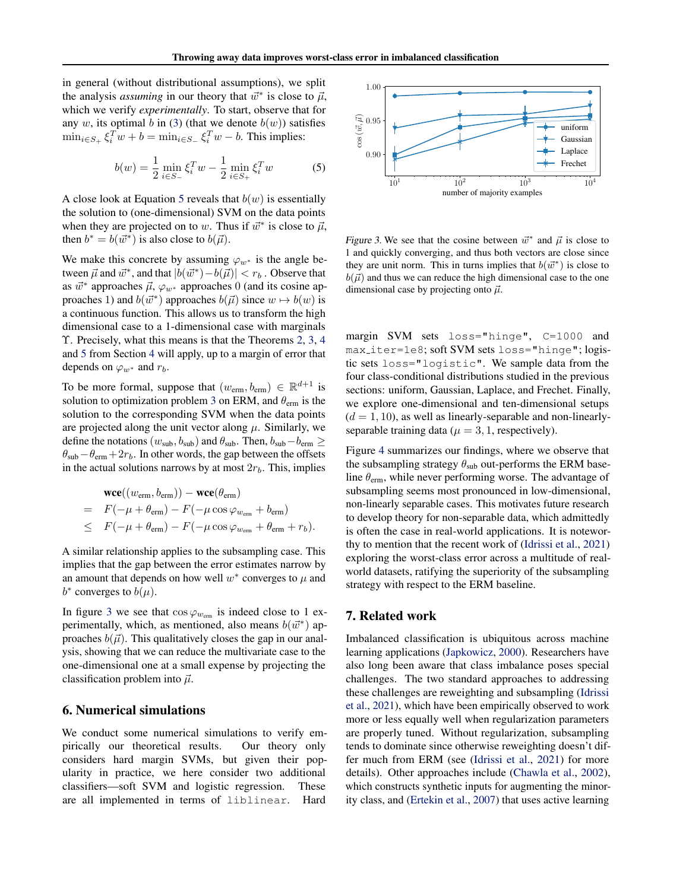in general (without distributional assumptions), we split the analysis *assuming* in our theory that  $\vec{w}^*$  is close to  $\vec{\mu}$ , which we verify *experimentally*. To start, observe that for any w, its optimal b in [\(3\)](#page-2-3) (that we denote  $b(w)$ ) satisfies  $\min_{i \in S_+} \xi_i^T w + b = \min_{i \in S_-} \xi_i^T w - b$ . This implies:

$$
b(w) = \frac{1}{2} \min_{i \in S_{-}} \xi_{i}^{T} w - \frac{1}{2} \min_{i \in S_{+}} \xi_{i}^{T} w
$$
 (5)

A close look at Equation [5](#page-6-2) reveals that  $b(w)$  is essentially the solution to (one-dimensional) SVM on the data points when they are projected on to w. Thus if  $\vec{w}^*$  is close to  $\vec{\mu}$ , then  $b^* = b(\vec{w}^*)$  is also close to  $b(\vec{\mu})$ .

We make this concrete by assuming  $\varphi_{w^*}$  is the angle between  $\vec{\mu}$  and  $\vec{w}^*$ , and that  $|b(\vec{w}^*) - b(\vec{\mu})| < r_b$ . Observe that as  $\vec{w}^*$  approaches  $\vec{\mu}, \varphi_{w^*}$  approaches 0 (and its cosine approaches 1) and  $b(\vec{w}^*)$  approaches  $b(\vec{\mu})$  since  $w \mapsto b(w)$  is a continuous function. This allows us to transform the high dimensional case to a 1-dimensional case with marginals Υ. Precisely, what this means is that the Theorems [2,](#page-4-0) [3,](#page-4-1) [4](#page-4-2) and [5](#page-5-1) from Section [4](#page-3-4) will apply, up to a margin of error that depends on  $\varphi_{w^*}$  and  $r_b$ .

To be more formal, suppose that  $(w_{\text{erm}}, b_{\text{erm}}) \in \mathbb{R}^{d+1}$  is solution to optimization problem [3](#page-2-3) on ERM, and  $\theta_{\text{erm}}$  is the solution to the corresponding SVM when the data points are projected along the unit vector along  $\mu$ . Similarly, we define the notations ( $w_{sub}$ ,  $b_{sub}$ ) and  $\theta_{sub}$ . Then,  $b_{sub}-b_{erm} \ge$  $\theta_{sub} - \theta_{erm} + 2r_b$ . In other words, the gap between the offsets in the actual solutions narrows by at most  $2r_b$ . This, implies

$$
\begin{aligned}\n\text{wce}((w_{\text{erm}}, b_{\text{erm}})) - \text{wce}(\theta_{\text{erm}}) \\
= F(-\mu + \theta_{\text{erm}}) - F(-\mu \cos \varphi_{w_{\text{erm}}} + b_{\text{erm}}) \\
\le F(-\mu + \theta_{\text{erm}}) - F(-\mu \cos \varphi_{w_{\text{erm}}} + \theta_{\text{erm}} + r_b).\n\end{aligned}
$$

A similar relationship applies to the subsampling case. This implies that the gap between the error estimates narrow by an amount that depends on how well  $w^*$  converges to  $\mu$  and  $b^*$  converges to  $b(\mu)$ .

In figure [3](#page-6-3) we see that  $\cos \varphi_{w_{\text{erm}}}$  is indeed close to 1 experimentally, which, as mentioned, also means  $b(\vec{w}^*)$  approaches  $b(\vec{\mu})$ . This qualitatively closes the gap in our analysis, showing that we can reduce the multivariate case to the one-dimensional one at a small expense by projecting the classification problem into  $\vec{\mu}$ .

# <span id="page-6-0"></span>6. Numerical simulations

We conduct some numerical simulations to verify empirically our theoretical results. Our theory only considers hard margin SVMs, but given their popularity in practice, we here consider two additional classifiers—soft SVM and logistic regression. These are all implemented in terms of liblinear. Hard

<span id="page-6-2"></span>

<span id="page-6-3"></span>Figure 3. We see that the cosine between  $\vec{w}^*$  and  $\vec{\mu}$  is close to 1 and quickly converging, and thus both vectors are close since they are unit norm. This in turns implies that  $b(\vec{w}^*)$  is close to  $b(\vec{\mu})$  and thus we can reduce the high dimensional case to the one dimensional case by projecting onto  $\vec{\mu}$ .

margin SVM sets loss="hinge", C=1000 and max iter=1e8; soft SVM sets loss="hinge"; logistic sets loss="logistic". We sample data from the four class-conditional distributions studied in the previous sections: uniform, Gaussian, Laplace, and Frechet. Finally, we explore one-dimensional and ten-dimensional setups  $(d = 1, 10)$ , as well as linearly-separable and non-linearlyseparable training data ( $\mu = 3, 1$ , respectively).

Figure [4](#page-7-1) summarizes our findings, where we observe that the subsampling strategy  $\theta_{sub}$  out-performs the ERM baseline  $\theta_{\rm{erm}}$ , while never performing worse. The advantage of subsampling seems most pronounced in low-dimensional, non-linearly separable cases. This motivates future research to develop theory for non-separable data, which admittedly is often the case in real-world applications. It is noteworthy to mention that the recent work of [\(Idrissi et al.,](#page-8-4) [2021\)](#page-8-4) exploring the worst-class error across a multitude of realworld datasets, ratifying the superiority of the subsampling strategy with respect to the ERM baseline.

### <span id="page-6-1"></span>7. Related work

Imbalanced classification is ubiquitous across machine learning applications [\(Japkowicz,](#page-8-15) [2000\)](#page-8-15). Researchers have also long been aware that class imbalance poses special challenges. The two standard approaches to addressing these challenges are reweighting and subsampling [\(Idrissi](#page-8-4) [et al.,](#page-8-4) [2021\)](#page-8-4), which have been empirically observed to work more or less equally well when regularization parameters are properly tuned. Without regularization, subsampling tends to dominate since otherwise reweighting doesn't differ much from ERM (see [\(Idrissi et al.,](#page-8-4) [2021\)](#page-8-4) for more details). Other approaches include [\(Chawla et al.,](#page-8-9) [2002\)](#page-8-9), which constructs synthetic inputs for augmenting the minority class, and [\(Ertekin et al.,](#page-8-16) [2007\)](#page-8-16) that uses active learning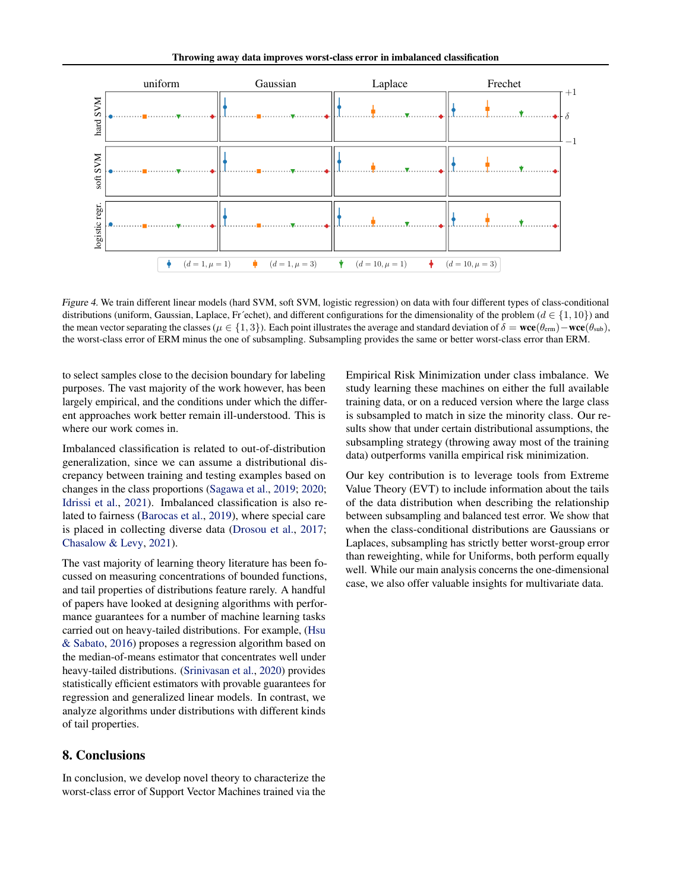

<span id="page-7-1"></span>Figure 4. We train different linear models (hard SVM, soft SVM, logistic regression) on data with four different types of class-conditional distributions (uniform, Gaussian, Laplace, Fr´echet), and different configurations for the dimensionality of the problem ( $d \in \{1, 10\}$ ) and the mean vector separating the classes ( $\mu \in \{1,3\}$ ). Each point illustrates the average and standard deviation of  $\delta = \text{wce}(\theta_{\text{sem}}) - \text{wce}(\theta_{\text{sub}})$ , the worst-class error of ERM minus the one of subsampling. Subsampling provides the same or better worst-class error than ERM.

to select samples close to the decision boundary for labeling purposes. The vast majority of the work however, has been largely empirical, and the conditions under which the different approaches work better remain ill-understood. This is where our work comes in.

Imbalanced classification is related to out-of-distribution generalization, since we can assume a distributional discrepancy between training and testing examples based on changes in the class proportions [\(Sagawa et al.,](#page-8-6) [2019;](#page-8-6) [2020;](#page-8-17) [Idrissi et al.,](#page-8-4) [2021\)](#page-8-4). Imbalanced classification is also related to fairness [\(Barocas et al.,](#page-8-3) [2019\)](#page-8-3), where special care is placed in collecting diverse data [\(Drosou et al.,](#page-8-18) [2017;](#page-8-18) [Chasalow & Levy,](#page-8-19) [2021\)](#page-8-19).

The vast majority of learning theory literature has been focussed on measuring concentrations of bounded functions, and tail properties of distributions feature rarely. A handful of papers have looked at designing algorithms with performance guarantees for a number of machine learning tasks carried out on heavy-tailed distributions. For example, [\(Hsu](#page-8-20) [& Sabato,](#page-8-20) [2016\)](#page-8-20) proposes a regression algorithm based on the median-of-means estimator that concentrates well under heavy-tailed distributions. [\(Srinivasan et al.,](#page-8-21) [2020\)](#page-8-21) provides statistically efficient estimators with provable guarantees for regression and generalized linear models. In contrast, we analyze algorithms under distributions with different kinds of tail properties.

# <span id="page-7-0"></span>8. Conclusions

In conclusion, we develop novel theory to characterize the worst-class error of Support Vector Machines trained via the Empirical Risk Minimization under class imbalance. We study learning these machines on either the full available training data, or on a reduced version where the large class is subsampled to match in size the minority class. Our results show that under certain distributional assumptions, the subsampling strategy (throwing away most of the training data) outperforms vanilla empirical risk minimization.

Our key contribution is to leverage tools from Extreme Value Theory (EVT) to include information about the tails of the data distribution when describing the relationship between subsampling and balanced test error. We show that when the class-conditional distributions are Gaussians or Laplaces, subsampling has strictly better worst-group error than reweighting, while for Uniforms, both perform equally well. While our main analysis concerns the one-dimensional case, we also offer valuable insights for multivariate data.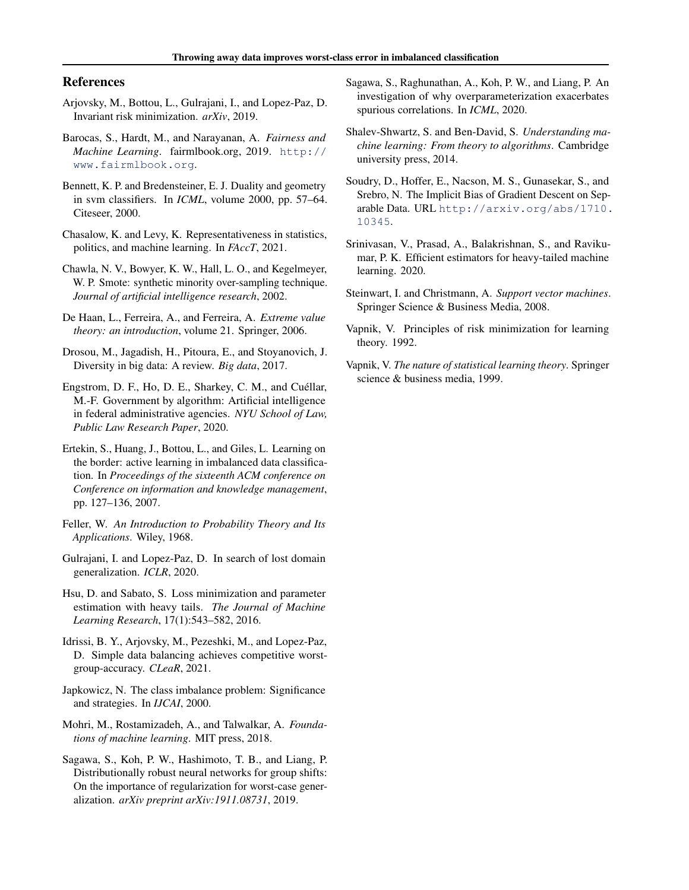# References

- <span id="page-8-7"></span>Arjovsky, M., Bottou, L., Gulrajani, I., and Lopez-Paz, D. Invariant risk minimization. *arXiv*, 2019.
- <span id="page-8-3"></span>Barocas, S., Hardt, M., and Narayanan, A. *Fairness and Machine Learning*. fairmlbook.org, 2019. [http://](http://www.fairmlbook.org) [www.fairmlbook.org](http://www.fairmlbook.org).
- <span id="page-8-13"></span>Bennett, K. P. and Bredensteiner, E. J. Duality and geometry in svm classifiers. In *ICML*, volume 2000, pp. 57–64. Citeseer, 2000.
- <span id="page-8-19"></span>Chasalow, K. and Levy, K. Representativeness in statistics, politics, and machine learning. In *FAccT*, 2021.
- <span id="page-8-9"></span>Chawla, N. V., Bowyer, K. W., Hall, L. O., and Kegelmeyer, W. P. Smote: synthetic minority over-sampling technique. *Journal of artificial intelligence research*, 2002.
- <span id="page-8-14"></span>De Haan, L., Ferreira, A., and Ferreira, A. *Extreme value theory: an introduction*, volume 21. Springer, 2006.
- <span id="page-8-18"></span>Drosou, M., Jagadish, H., Pitoura, E., and Stoyanovich, J. Diversity in big data: A review. *Big data*, 2017.
- <span id="page-8-5"></span>Engstrom, D. F., Ho, D. E., Sharkey, C. M., and Cuéllar, M.-F. Government by algorithm: Artificial intelligence in federal administrative agencies. *NYU School of Law, Public Law Research Paper*, 2020.
- <span id="page-8-16"></span>Ertekin, S., Huang, J., Bottou, L., and Giles, L. Learning on the border: active learning in imbalanced data classification. In *Proceedings of the sixteenth ACM conference on Conference on information and knowledge management*, pp. 127–136, 2007.
- <span id="page-8-22"></span>Feller, W. *An Introduction to Probability Theory and Its Applications*. Wiley, 1968.
- <span id="page-8-8"></span>Gulrajani, I. and Lopez-Paz, D. In search of lost domain generalization. *ICLR*, 2020.
- <span id="page-8-20"></span>Hsu, D. and Sabato, S. Loss minimization and parameter estimation with heavy tails. *The Journal of Machine Learning Research*, 17(1):543–582, 2016.
- <span id="page-8-4"></span>Idrissi, B. Y., Arjovsky, M., Pezeshki, M., and Lopez-Paz, D. Simple data balancing achieves competitive worstgroup-accuracy. *CLeaR*, 2021.
- <span id="page-8-15"></span>Japkowicz, N. The class imbalance problem: Significance and strategies. In *IJCAI*, 2000.
- <span id="page-8-2"></span>Mohri, M., Rostamizadeh, A., and Talwalkar, A. *Foundations of machine learning*. MIT press, 2018.
- <span id="page-8-6"></span>Sagawa, S., Koh, P. W., Hashimoto, T. B., and Liang, P. Distributionally robust neural networks for group shifts: On the importance of regularization for worst-case generalization. *arXiv preprint arXiv:1911.08731*, 2019.
- <span id="page-8-17"></span>Sagawa, S., Raghunathan, A., Koh, P. W., and Liang, P. An investigation of why overparameterization exacerbates spurious correlations. In *ICML*, 2020.
- <span id="page-8-1"></span>Shalev-Shwartz, S. and Ben-David, S. *Understanding machine learning: From theory to algorithms*. Cambridge university press, 2014.
- <span id="page-8-11"></span>Soudry, D., Hoffer, E., Nacson, M. S., Gunasekar, S., and Srebro, N. The Implicit Bias of Gradient Descent on Separable Data. URL [http://arxiv.org/abs/1710.](http://arxiv.org/abs/1710.10345) [10345](http://arxiv.org/abs/1710.10345).
- <span id="page-8-21"></span>Srinivasan, V., Prasad, A., Balakrishnan, S., and Ravikumar, P. K. Efficient estimators for heavy-tailed machine learning. 2020.
- <span id="page-8-0"></span>Steinwart, I. and Christmann, A. *Support vector machines*. Springer Science & Business Media, 2008.
- <span id="page-8-10"></span>Vapnik, V. Principles of risk minimization for learning theory. 1992.
- <span id="page-8-12"></span>Vapnik, V. *The nature of statistical learning theory*. Springer science & business media, 1999.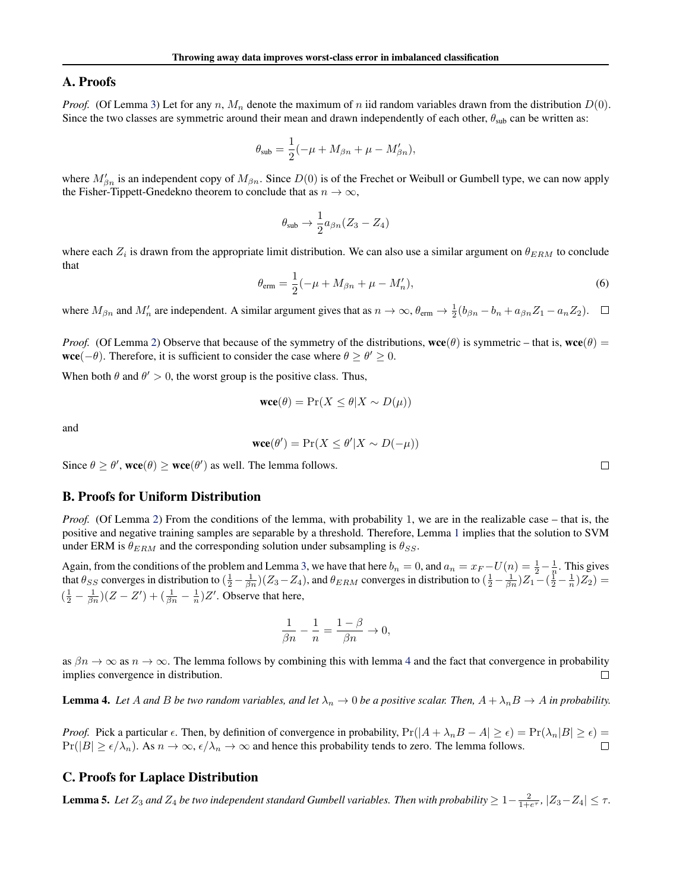# A. Proofs

*Proof.* (Of Lemma [3\)](#page-3-3) Let for any n,  $M_n$  denote the maximum of n iid random variables drawn from the distribution  $D(0)$ . Since the two classes are symmetric around their mean and drawn independently of each other,  $\theta_{sub}$  can be written as:

$$
\theta_{\text{sub}} = \frac{1}{2}(-\mu + M_{\beta n} + \mu - M'_{\beta n}),
$$

where  $M'_{\beta n}$  is an independent copy of  $M_{\beta n}$ . Since  $D(0)$  is of the Frechet or Weibull or Gumbell type, we can now apply the Fisher-Tippett-Gnedekno theorem to conclude that as  $n \to \infty$ ,

$$
\theta_{\text{sub}} \rightarrow \frac{1}{2} a_{\beta n} (Z_3 - Z_4)
$$

where each  $Z_i$  is drawn from the appropriate limit distribution. We can also use a similar argument on  $\theta_{ERM}$  to conclude that

$$
\theta_{\text{erm}} = \frac{1}{2}(-\mu + M_{\beta n} + \mu - M'_n),\tag{6}
$$

where  $M_{\beta n}$  and  $M'_n$  are independent. A similar argument gives that as  $n \to \infty$ ,  $\theta_{\text{erm}} \to \frac{1}{2} (b_{\beta n} - b_n + a_{\beta n} Z_1 - a_n Z_2)$ .

*Proof.* (Of Lemma [2\)](#page-2-4) Observe that because of the symmetry of the distributions,  $\mathbf{wce}(\theta)$  is symmetric – that is,  $\mathbf{wce}(\theta)$  = **wce**( $-\theta$ ). Therefore, it is sufficient to consider the case where  $\theta \ge \theta' \ge 0$ .

When both  $\theta$  and  $\theta' > 0$ , the worst group is the positive class. Thus,

$$
\text{wce}(\theta) = \Pr(X \le \theta | X \sim D(\mu))
$$

and

$$
\mathbf{wce}(\theta') = \Pr(X \le \theta' | X \sim D(-\mu))
$$

Since  $\theta \ge \theta'$ , wce $(\theta) \ge$  wce $(\theta')$  as well. The lemma follows.

### B. Proofs for Uniform Distribution

*Proof.* (Of Lemma [2\)](#page-4-0) From the conditions of the lemma, with probability 1, we are in the realizable case – that is, the positive and negative training samples are separable by a threshold. Therefore, Lemma [1](#page-2-5) implies that the solution to SVM under ERM is  $\theta_{ERM}$  and the corresponding solution under subsampling is  $\theta_{SS}$ .

Again, from the conditions of the problem and Lemma [3,](#page-3-3) we have that here  $b_n = 0$ , and  $a_n = x_F - U(n) = \frac{1}{2} - \frac{1}{n}$ . This gives that  $\theta_{SS}$  converges in distribution to  $(\frac{1}{2} - \frac{1}{\beta n})(Z_3 - Z_4)$ , and  $\theta_{ERM}$  converges in distribution to  $(\frac{1}{2} - \frac{1}{\beta n})Z_1 - (\frac{1}{2} - \frac{1}{n})Z_2$  =  $\left(\frac{1}{2} - \frac{1}{\beta n}\right)(Z - Z') + \left(\frac{1}{\beta n} - \frac{1}{n}\right)Z'$ . Observe that here,

$$
\frac{1}{\beta n} - \frac{1}{n} = \frac{1 - \beta}{\beta n} \to 0,
$$

as  $\beta n \to \infty$  as  $n \to \infty$ . The lemma follows by combining this with lemma [4](#page-9-0) and the fact that convergence in probability implies convergence in distribution. implies convergence in distribution.

<span id="page-9-0"></span>**Lemma 4.** Let A and B be two random variables, and let  $\lambda_n \to 0$  be a positive scalar. Then,  $A + \lambda_n B \to A$  in probability.

*Proof.* Pick a particular  $\epsilon$ . Then, by definition of convergence in probability,  $Pr(|A + \lambda_n B - A| \ge \epsilon) = Pr(\lambda_n |B| \ge \epsilon) = Pr(|B| > \epsilon \lambda)$ . As  $n \to \infty$   $\epsilon/\lambda \to \infty$  and hence this probability tends to zero. The lemma follows  $Pr(|B| \ge \epsilon/\lambda_n)$ . As  $n \to \infty$ ,  $\epsilon/\lambda_n \to \infty$  and hence this probability tends to zero. The lemma follows.

# C. Proofs for Laplace Distribution

<span id="page-9-1"></span>**Lemma 5.** Let  $Z_3$  and  $Z_4$  be two independent standard Gumbell variables. Then with probability  $\geq 1-\frac{2}{1+e^{\tau}}$ ,  $|Z_3-Z_4|\leq \tau$ .

 $\Box$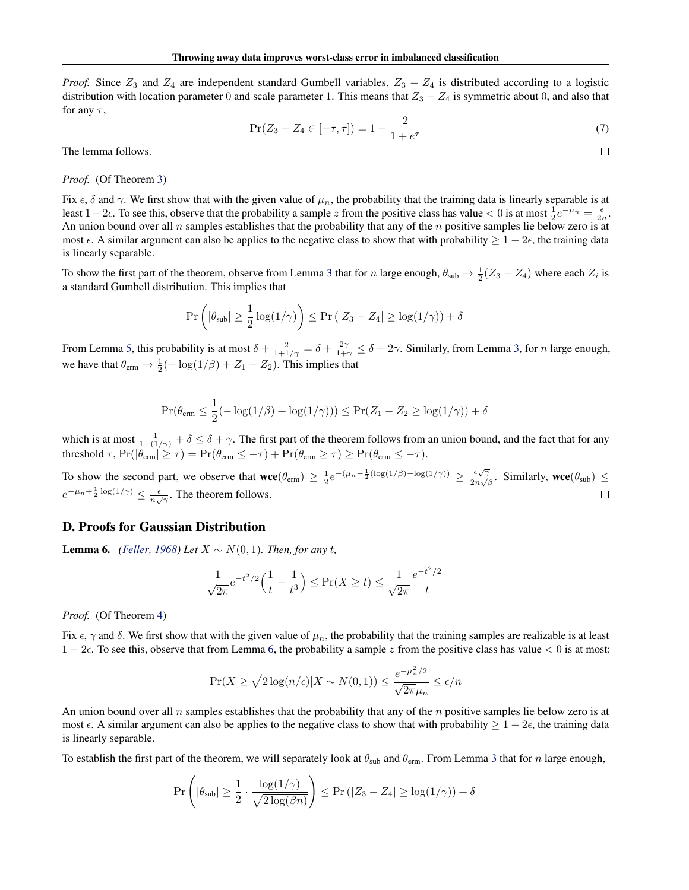*Proof.* Since  $Z_3$  and  $Z_4$  are independent standard Gumbell variables,  $Z_3 - Z_4$  is distributed according to a logistic distribution with location parameter 0 and scale parameter 1. This means that  $Z_3 - Z_4$  is symmetric about 0, and also that for any  $\tau$ ,

$$
\Pr(Z_3 - Z_4 \in [-\tau, \tau]) = 1 - \frac{2}{1 + e^{\tau}} \tag{7}
$$

 $\Box$ 

The lemma follows.

*Proof.* (Of Theorem [3\)](#page-4-1)

Fix  $\epsilon$ ,  $\delta$  and  $\gamma$ . We first show that with the given value of  $\mu_n$ , the probability that the training data is linearly separable is at least  $1-2\epsilon$ . To see this, observe that the probability a sample z from the positive class has value < 0 is at most  $\frac{1}{2}e^{-\mu_n} = \frac{\epsilon}{2n}$ . An union bound over all n samples establishes that the probability that any of the  $n$  positive samples lie below zero is at most  $\epsilon$ . A similar argument can also be applies to the negative class to show that with probability  $\geq 1 - 2\epsilon$ , the training data is linearly separable.

To show the first part of the theorem, observe from Lemma [3](#page-3-3) that for n large enough,  $\theta_{sub} \rightarrow \frac{1}{2}(Z_3 - Z_4)$  where each  $Z_i$  is a standard Gumbell distribution. This implies that

$$
\Pr\left(|\theta_{\text{sub}}| \ge \frac{1}{2}\log(1/\gamma)\right) \le \Pr\left(|Z_3 - Z_4| \ge \log(1/\gamma)\right) + \delta
$$

From Lemma [5,](#page-9-1) this probability is at most  $\delta + \frac{2}{1+1/\gamma} = \delta + \frac{2\gamma}{1+\gamma} \leq \delta + 2\gamma$ . Similarly, from Lemma [3,](#page-3-3) for *n* large enough, we have that  $\theta_{\text{erm}} \to \frac{1}{2}(-\log(1/\beta) + Z_1 - Z_2)$ . This implies that

$$
\Pr(\theta_{\text{erm}} \le \frac{1}{2}(-\log(1/\beta) + \log(1/\gamma))) \le \Pr(Z_1 - Z_2 \ge \log(1/\gamma)) + \delta
$$

which is at most  $\frac{1}{1+(1/\gamma)} + \delta \le \delta + \gamma$ . The first part of the theorem follows from an union bound, and the fact that for any threshold  $\tau$ ,  $Pr(|\theta_{\text{erm}}| \ge \tau) = Pr(\theta_{\text{erm}} \le -\tau) + Pr(\theta_{\text{erm}} \ge \tau) \ge Pr(\theta_{\text{erm}} \le -\tau)$ .

To show the second part, we observe that  $\mathbf{wce}(\theta_{\text{erm}}) \geq \frac{1}{2}e^{-(\mu_n - \frac{1}{2}(\log(1/\beta) - \log(1/\gamma))} \geq \frac{\epsilon\sqrt{\gamma}}{2n\sqrt{\beta}}$  $\frac{\epsilon \sqrt{\gamma}}{2n\sqrt{\beta}}$ . Similarly, wce $(\theta_{sub}) \le$  $e^{-\mu_n + \frac{1}{2} \log(1/\gamma)} \leq \frac{\epsilon}{n\sqrt{\gamma}}$ . The theorem follows.  $\Box$ 

### D. Proofs for Gaussian Distribution

<span id="page-10-0"></span>**Lemma 6.** *[\(Feller,](#page-8-22) [1968\)](#page-8-22) Let*  $X ∼ N(0, 1)$ *. Then, for any t,* 

$$
\frac{1}{\sqrt{2\pi}}e^{-t^2/2}\left(\frac{1}{t}-\frac{1}{t^3}\right) \le \Pr(X \ge t) \le \frac{1}{\sqrt{2\pi}}\frac{e^{-t^2/2}}{t}
$$

*Proof.* (Of Theorem [4\)](#page-4-2)

Fix  $\epsilon$ ,  $\gamma$  and  $\delta$ . We first show that with the given value of  $\mu_n$ , the probability that the training samples are realizable is at least  $1 - 2\epsilon$ . To see this, observe that from Lemma [6,](#page-10-0) the probability a sample z from the positive class has value  $\lt 0$  is at most:

$$
\Pr(X \ge \sqrt{2\log(n/\epsilon)} | X \sim N(0, 1)) \le \frac{e^{-\mu_n^2/2}}{\sqrt{2\pi}\mu_n} \le \epsilon/n
$$

 $\sim$ 

An union bound over all n samples establishes that the probability that any of the n positive samples lie below zero is at most  $\epsilon$ . A similar argument can also be applies to the negative class to show that with probability  $\geq 1 - 2\epsilon$ , the training data is linearly separable.

To establish the first part of the theorem, we will separately look at  $\theta_{\rm sub}$  and  $\theta_{\rm em}$ . From Lemma [3](#page-3-3) that for n large enough,

$$
\Pr\left(|\theta_{\text{sub}}| \geq \frac{1}{2} \cdot \frac{\log(1/\gamma)}{\sqrt{2\log(\beta n)}}\right) \leq \Pr\left(|Z_3 - Z_4| \geq \log(1/\gamma)\right) + \delta
$$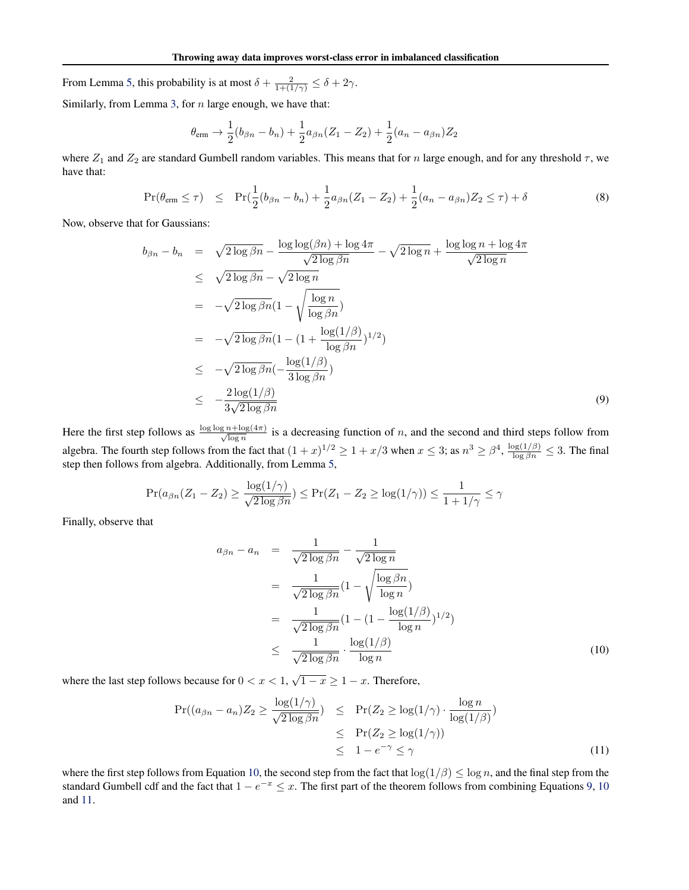From Lemma [5,](#page-9-1) this probability is at most  $\delta + \frac{2}{1 + (1/\gamma)} \leq \delta + 2\gamma$ .

Similarly, from Lemma [3,](#page-3-3) for  $n$  large enough, we have that:

$$
\theta_{\text{erm}} \rightarrow \frac{1}{2}(b_{\beta n} - b_n) + \frac{1}{2}a_{\beta n}(Z_1 - Z_2) + \frac{1}{2}(a_n - a_{\beta n})Z_2
$$

where  $Z_1$  and  $Z_2$  are standard Gumbell random variables. This means that for n large enough, and for any threshold  $\tau$ , we have that:

$$
\Pr(\theta_{\text{erm}} \le \tau) \le \Pr(\frac{1}{2}(b_{\beta n} - b_n) + \frac{1}{2}a_{\beta n}(Z_1 - Z_2) + \frac{1}{2}(a_n - a_{\beta n})Z_2 \le \tau) + \delta \tag{8}
$$

Now, observe that for Gaussians:

<span id="page-11-1"></span>
$$
b_{\beta n} - b_n = \sqrt{2 \log \beta n} - \frac{\log \log(\beta n) + \log 4\pi}{\sqrt{2 \log \beta n}} - \sqrt{2 \log n} + \frac{\log \log n + \log 4\pi}{\sqrt{2 \log n}}
$$
  
\n
$$
\leq \sqrt{2 \log \beta n} - \sqrt{2 \log n}
$$
  
\n
$$
= -\sqrt{2 \log \beta n} (1 - \sqrt{\frac{\log n}{\log \beta n}})
$$
  
\n
$$
= -\sqrt{2 \log \beta n} (1 - (1 + \frac{\log(1/\beta)}{\log \beta n})^{1/2})
$$
  
\n
$$
\leq -\sqrt{2 \log \beta n} (-\frac{\log(1/\beta)}{3 \log \beta n})
$$
  
\n
$$
\leq -\frac{2 \log(1/\beta)}{3\sqrt{2 \log \beta n}}
$$
 (9)

Here the first step follows as  $\frac{\log \log n + \log(4\pi)}{\sqrt{\log n}}$  is a decreasing function of n, and the second and third steps follow from algebra. The fourth step follows from the fact that  $(1+x)^{1/2} \ge 1 + x/3$  when  $x \le 3$ ; as  $n^3 \ge \beta^4$ ,  $\frac{\log(1/\beta)}{\log \beta n} \le 3$ . The final step then follows from algebra. Additionally, from Lemma [5,](#page-9-1)

<span id="page-11-0"></span>
$$
\Pr(a_{\beta n}(Z_1 - Z_2) \ge \frac{\log(1/\gamma)}{\sqrt{2\log \beta n}}) \le \Pr(Z_1 - Z_2 \ge \log(1/\gamma)) \le \frac{1}{1 + 1/\gamma} \le \gamma
$$

Finally, observe that

$$
a_{\beta n} - a_n = \frac{1}{\sqrt{2 \log \beta n}} - \frac{1}{\sqrt{2 \log n}}
$$
  
= 
$$
\frac{1}{\sqrt{2 \log \beta n}} (1 - \sqrt{\frac{\log \beta n}{\log n}})
$$
  
= 
$$
\frac{1}{\sqrt{2 \log \beta n}} (1 - (1 - \frac{\log(1/\beta)}{\log n})^{1/2})
$$
  

$$
\leq \frac{1}{\sqrt{2 \log \beta n}} \cdot \frac{\log(1/\beta)}{\log n}
$$
(10)

where the last step follows because for  $0 < x < 1$ ,  $\sqrt{1-x} \ge 1-x$ . Therefore,

<span id="page-11-2"></span>
$$
\Pr((a_{\beta n} - a_n)Z_2 \ge \frac{\log(1/\gamma)}{\sqrt{2\log \beta n}}) \le \Pr(Z_2 \ge \log(1/\gamma) \cdot \frac{\log n}{\log(1/\beta)})
$$
  
\n
$$
\le \Pr(Z_2 \ge \log(1/\gamma))
$$
  
\n
$$
\le 1 - e^{-\gamma} \le \gamma
$$
 (11)

where the first step follows from Equation [10,](#page-11-0) the second step from the fact that  $\log(1/\beta) \leq \log n$ , and the final step from the standard Gumbell cdf and the fact that  $1 - e^{-x} \le x$ . The first part of the theorem follows from combining Equations [9,](#page-11-1) [10](#page-11-0) and [11.](#page-11-2)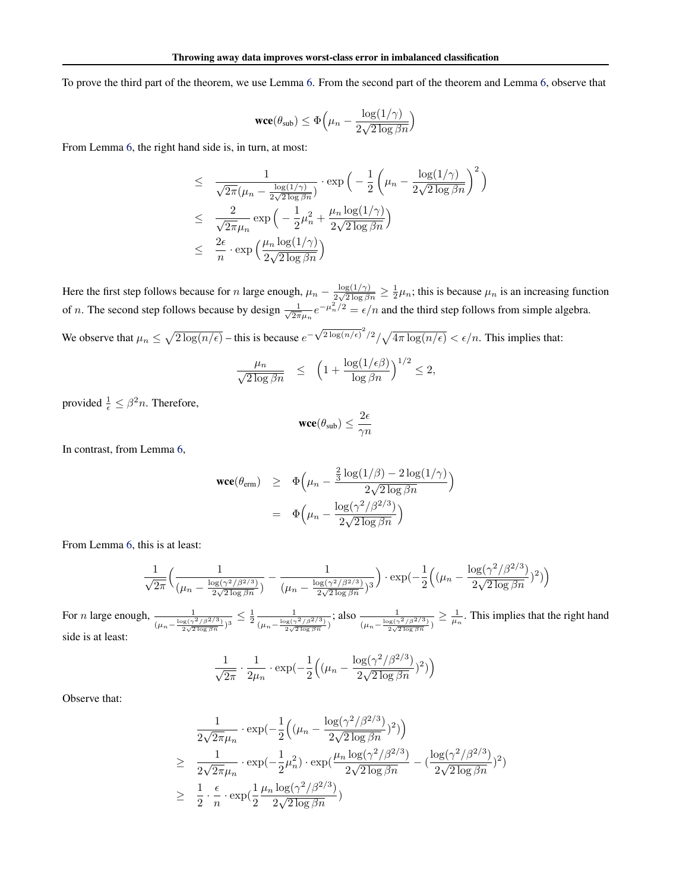To prove the third part of the theorem, we use Lemma [6.](#page-10-0) From the second part of the theorem and Lemma [6,](#page-10-0) observe that

$$
\text{wce}(\theta_{\text{sub}}) \leq \Phi\Big(\mu_n - \frac{\log(1/\gamma)}{2\sqrt{2\log\beta n}}\Big)
$$

From Lemma [6,](#page-10-0) the right hand side is, in turn, at most:

$$
\leq \frac{1}{\sqrt{2\pi}(\mu_n - \frac{\log(1/\gamma)}{2\sqrt{2\log \beta n}})} \cdot \exp\left(-\frac{1}{2}\left(\mu_n - \frac{\log(1/\gamma)}{2\sqrt{2\log \beta n}}\right)^2\right)
$$
  

$$
\leq \frac{2}{\sqrt{2\pi}\mu_n} \exp\left(-\frac{1}{2}\mu_n^2 + \frac{\mu_n \log(1/\gamma)}{2\sqrt{2\log \beta n}}\right)
$$
  

$$
\leq \frac{2\epsilon}{n} \cdot \exp\left(\frac{\mu_n \log(1/\gamma)}{2\sqrt{2\log \beta n}}\right)
$$

Here the first step follows because for n large enough,  $\mu_n - \frac{\log(1/\gamma)}{2\sqrt{2\log\beta}}$  $\frac{\log(1/\gamma)}{2\sqrt{2\log\beta n}} \ge \frac{1}{2}\mu_n$ ; this is because  $\mu_n$  is an increasing function of *n*. The second step follows because by design  $\frac{1}{\sqrt{2}}$  $\frac{1}{2\pi\mu_n}e^{-\mu_n^2/2} = \epsilon/n$  and the third step follows from simple algebra. We observe that  $\mu_n \leq \sqrt{2\log(n/\epsilon)}$  – this is because  $e^{-\sqrt{2\log(n/\epsilon)}^2/2}/\sqrt{4\pi \log(n/\epsilon)} < \epsilon/n$ . This implies that:

$$
\frac{\mu_n}{\sqrt{2\log \beta n}} \le \left(1 + \frac{\log(1/\epsilon \beta)}{\log \beta n}\right)^{1/2} \le 2,
$$

provided  $\frac{1}{\epsilon} \leq \beta^2 n$ . Therefore,

$$
\mathbf{wce}(\theta_{\text{sub}}) \leq \frac{2\epsilon}{\gamma n}
$$

In contrast, from Lemma [6,](#page-10-0)

$$
\begin{array}{rcl}\n\textbf{wce}(\theta_{\text{erm}}) & \geq & \Phi\left(\mu_n - \frac{\frac{2}{3}\log(1/\beta) - 2\log(1/\gamma)}{2\sqrt{2\log\beta n}}\right) \\
& = & \Phi\left(\mu_n - \frac{\log(\gamma^2/\beta^{2/3})}{2\sqrt{2\log\beta n}}\right)\n\end{array}
$$

From Lemma [6,](#page-10-0) this is at least:

$$
\frac{1}{\sqrt{2\pi}} \Big( \frac{1}{(\mu_n - \frac{\log(\gamma^2/\beta^{2/3})}{2\sqrt{2\log\beta n}})} - \frac{1}{(\mu_n - \frac{\log(\gamma^2/\beta^{2/3})}{2\sqrt{2\log\beta n}})^3} \Big) \cdot \exp\left(-\frac{1}{2} \Big( (\mu_n - \frac{\log(\gamma^2/\beta^{2/3})}{2\sqrt{2\log\beta n}})^2 \Big) \right)
$$

For *n* large enough,  $\frac{1}{(\mu_n - \frac{\log(\gamma^2/\beta^2/3)}{2\sqrt{2\log \beta_n}})^3} \leq \frac{1}{2} \frac{1}{(\mu_n - \frac{\log(\gamma^2/\beta^2/3)}{2\sqrt{2\log \beta_n}})^3}$  $(\mu_n - \frac{\log(\gamma^2/\beta^2/3)}{2\sqrt{2\log \beta n}})$ ; also  $\frac{1}{(\mu_n - \frac{\log(\gamma^2/\beta^2/3)}{2\sqrt{2\log \beta n}})} \geq \frac{1}{\mu_n}$ . This implies that the right hand side is at least:

$$
\frac{1}{\sqrt{2\pi}} \cdot \frac{1}{2\mu_n} \cdot \exp(-\frac{1}{2} \left( (\mu_n - \frac{\log(\gamma^2/\beta^{2/3})}{2\sqrt{2\log \beta n}})^2) \right)
$$

Observe that:

$$
\frac{1}{2\sqrt{2\pi}\mu_n} \cdot \exp\left(-\frac{1}{2}\left((\mu_n - \frac{\log(\gamma^2/\beta^{2/3})}{2\sqrt{2\log\beta n}})^2\right)\right)
$$
\n
$$
\geq \frac{1}{2\sqrt{2\pi}\mu_n} \cdot \exp\left(-\frac{1}{2}\mu_n^2\right) \cdot \exp\left(\frac{\mu_n \log(\gamma^2/\beta^{2/3})}{2\sqrt{2\log\beta n}} - \left(\frac{\log(\gamma^2/\beta^{2/3})}{2\sqrt{2\log\beta n}}\right)^2\right)
$$
\n
$$
\geq \frac{1}{2} \cdot \frac{\epsilon}{n} \cdot \exp\left(\frac{1}{2}\frac{\mu_n \log(\gamma^2/\beta^{2/3})}{2\sqrt{2\log\beta n}}\right)
$$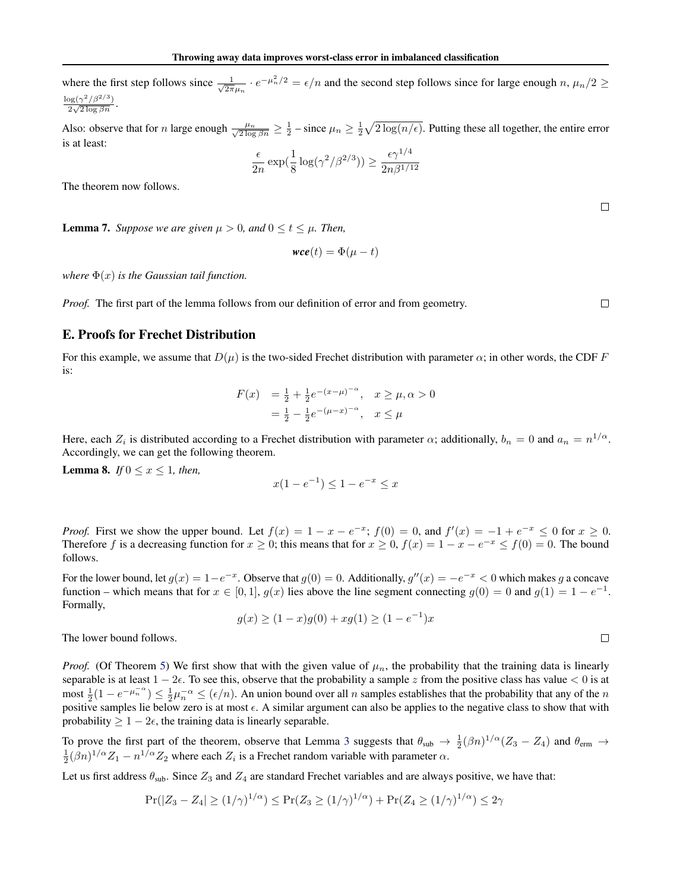where the first step follows since  $\frac{1}{\sqrt{2}}$  $\frac{1}{2\pi\mu_n} \cdot e^{-\mu_n^2/2} = \epsilon/n$  and the second step follows since for large enough  $n, \mu_n/2 \geq$  $\frac{\log(\gamma^2/\beta^{2/3})}{\sqrt{2}}$  $\frac{2\sqrt{2\log \beta n}}{2\sqrt{2\log \beta n}}$ .

Also: observe that for *n* large enough  $\frac{\mu_n}{\sqrt{2 \log \beta_n}} \geq \frac{1}{2}$  – since  $\mu_n \geq \frac{1}{2} \sqrt{2 \log(n/\epsilon)}$ . Putting these all together, the entire error is at least:

$$
\frac{\epsilon}{2n} \exp\left(\frac{1}{8} \log(\gamma^2/\beta^{2/3})\right) \ge \frac{\epsilon \gamma^{1/4}}{2n\beta^{1/12}}
$$

 $\Box$ 

 $\Box$ 

 $\Box$ 

The theorem now follows.

**Lemma 7.** *Suppose we are given*  $\mu > 0$ *, and*  $0 \le t \le \mu$ *. Then,* 

$$
\mathbf{wce}(t) = \Phi(\mu - t)
$$

*where*  $\Phi(x)$  *is the Gaussian tail function.* 

*Proof.* The first part of the lemma follows from our definition of error and from geometry.

# E. Proofs for Frechet Distribution

For this example, we assume that  $D(\mu)$  is the two-sided Frechet distribution with parameter  $\alpha$ ; in other words, the CDF F is:

$$
F(x) = \frac{1}{2} + \frac{1}{2}e^{-(x-\mu)^{-\alpha}}, \quad x \ge \mu, \alpha > 0
$$
  
=  $\frac{1}{2} - \frac{1}{2}e^{-(\mu - x)^{-\alpha}}, \quad x \le \mu$ 

Here, each  $Z_i$  is distributed according to a Frechet distribution with parameter  $\alpha$ ; additionally,  $b_n = 0$  and  $a_n = n^{1/\alpha}$ . Accordingly, we can get the following theorem.

<span id="page-13-0"></span>**Lemma 8.** *If*  $0 \le x \le 1$ *, then,* 

$$
x(1 - e^{-1}) \le 1 - e^{-x} \le x
$$

*Proof.* First we show the upper bound. Let  $f(x) = 1 - x - e^{-x}$ ;  $f(0) = 0$ , and  $f'(x) = -1 + e^{-x} \le 0$  for  $x \ge 0$ . Therefore f is a decreasing function for  $x \ge 0$ ; this means that for  $x \ge 0$ ,  $f(x) = 1 - x - e^{-x} \le f(0) = 0$ . The bound follows.

For the lower bound, let  $g(x) = 1 - e^{-x}$ . Observe that  $g(0) = 0$ . Additionally,  $g''(x) = -e^{-x} < 0$  which makes g a concave function – which means that for  $x \in [0, 1]$ ,  $g(x)$  lies above the line segment connecting  $g(0) = 0$  and  $g(1) = 1 - e^{-1}$ . Formally,

$$
g(x) \ge (1 - x)g(0) + xg(1) \ge (1 - e^{-1})x
$$

The lower bound follows.

*Proof.* (Of Theorem [5\)](#page-5-1) We first show that with the given value of  $\mu_n$ , the probability that the training data is linearly separable is at least  $1 - 2\epsilon$ . To see this, observe that the probability a sample z from the positive class has value < 0 is at most  $\frac{1}{2}(1 - e^{-\mu_n^{-\alpha}}) \le \frac{1}{2}\mu_n^{-\alpha} \le (\epsilon/n)$ . An union bound over all *n* samples establishes that the probability that any of the *n* positive samples lie below zero is at most  $\epsilon$ . A similar argument can also be applies to the negative class to show that with probability  $\geq 1 - 2\epsilon$ , the training data is linearly separable.

To prove the first part of the theorem, observe that Lemma [3](#page-3-3) suggests that  $\theta_{sub} \to \frac{1}{2}(\beta n)^{1/\alpha}(Z_3 - Z_4)$  and  $\theta_{\text{erm}} \to$  $\frac{1}{2}(\beta n)^{1/\alpha}Z_1 - n^{1/\alpha}Z_2$  where each  $Z_i$  is a Frechet random variable with parameter  $\alpha$ .

Let us first address  $\theta_{sub}$ . Since  $Z_3$  and  $Z_4$  are standard Frechet variables and are always positive, we have that:

$$
Pr(|Z_3 - Z_4| \ge (1/\gamma)^{1/\alpha}) \le Pr(Z_3 \ge (1/\gamma)^{1/\alpha}) + Pr(Z_4 \ge (1/\gamma)^{1/\alpha}) \le 2\gamma
$$